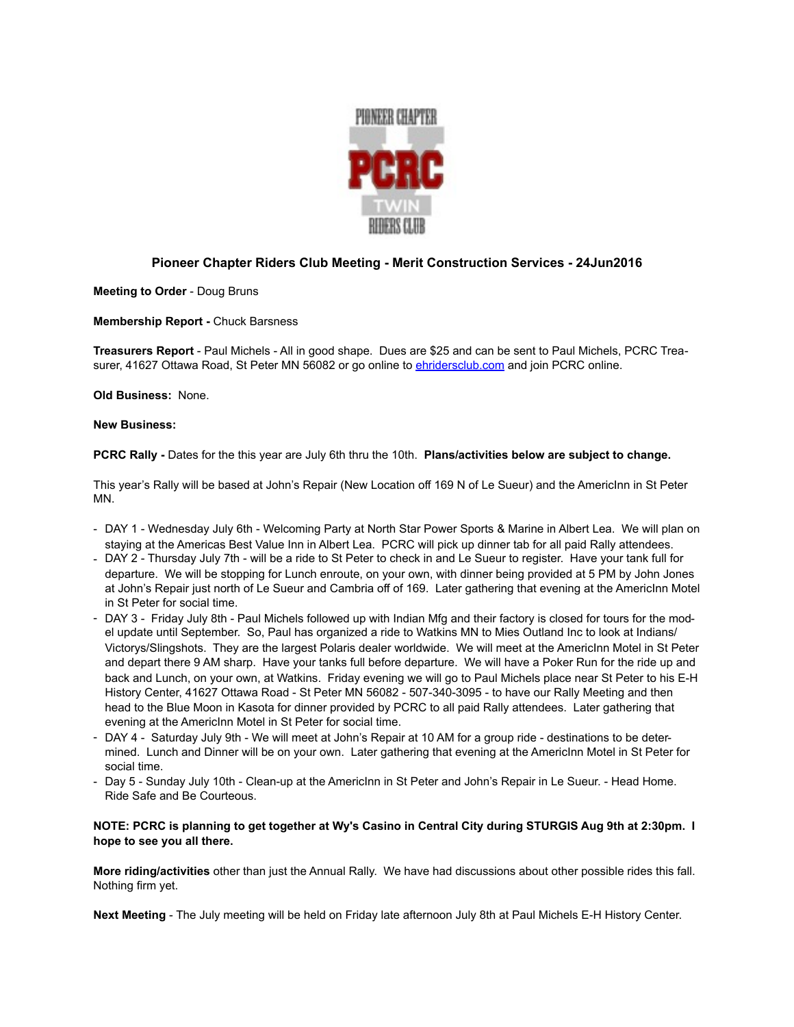

## **Pioneer Chapter Riders Club Meeting - Merit Construction Services - 24Jun2016**

**Meeting to Order** - Doug Bruns

**Membership Report -** Chuck Barsness

**Treasurers Report** - Paul Michels - All in good shape. Dues are \$25 and can be sent to Paul Michels, PCRC Treasurer, 41627 Ottawa Road, St Peter MN 56082 or go online to [ehridersclub.com](http://ehridersclub.com) and join PCRC online.

**Old Business:** None.

## **New Business:**

**PCRC Rally -** Dates for the this year are July 6th thru the 10th. **Plans/activities below are subject to change.**

This year's Rally will be based at John's Repair (New Location off 169 N of Le Sueur) and the AmericInn in St Peter MN.

- DAY 1 Wednesday July 6th Welcoming Party at North Star Power Sports & Marine in Albert Lea. We will plan on staying at the Americas Best Value Inn in Albert Lea. PCRC will pick up dinner tab for all paid Rally attendees.
- DAY 2 Thursday July 7th will be a ride to St Peter to check in and Le Sueur to register. Have your tank full for departure. We will be stopping for Lunch enroute, on your own, with dinner being provided at 5 PM by John Jones at John's Repair just north of Le Sueur and Cambria off of 169. Later gathering that evening at the AmericInn Motel in St Peter for social time.
- DAY 3 Friday July 8th Paul Michels followed up with Indian Mfg and their factory is closed for tours for the model update until September. So, Paul has organized a ride to Watkins MN to Mies Outland Inc to look at Indians/ Victorys/Slingshots. They are the largest Polaris dealer worldwide. We will meet at the AmericInn Motel in St Peter and depart there 9 AM sharp. Have your tanks full before departure. We will have a Poker Run for the ride up and back and Lunch, on your own, at Watkins. Friday evening we will go to Paul Michels place near St Peter to his E-H History Center, 41627 Ottawa Road - St Peter MN 56082 - 507-340-3095 - to have our Rally Meeting and then head to the Blue Moon in Kasota for dinner provided by PCRC to all paid Rally attendees. Later gathering that evening at the AmericInn Motel in St Peter for social time.
- DAY 4 Saturday July 9th We will meet at John's Repair at 10 AM for a group ride destinations to be determined. Lunch and Dinner will be on your own. Later gathering that evening at the AmericInn Motel in St Peter for social time.
- Day 5 Sunday July 10th Clean-up at the AmericInn in St Peter and John's Repair in Le Sueur. Head Home. Ride Safe and Be Courteous.

## **NOTE: PCRC is planning to get together at Wy's Casino in Central City during STURGIS Aug 9th at 2:30pm. I hope to see you all there.**

**More riding/activities** other than just the Annual Rally. We have had discussions about other possible rides this fall. Nothing firm yet.

**Next Meeting** - The July meeting will be held on Friday late afternoon July 8th at Paul Michels E-H History Center.